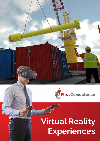



# **Virtual Reality Experiences**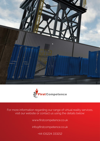



For more information regarding our range of virtual reality services, visit our website or contact us using the details below:

www.firstcompetence.co.uk

info@firstcompetence.co.uk

+44 (0)1224 333212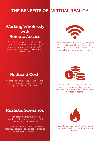# **THE BENEFITS OF VIRTUAL REALITY**

## **Working Wirelessly with Remote Access**

One of VR's greatest benefits is that its applications can be run from anywhere. Updated software can added to a VR headset from any location with a Wi-Fi connection.



The VR headsets are extremely accessible. With the full capability of going wireless, training exercises no longer need to be run from a training room with a computer.

## **Reduced Cost**

Working with VR has the potential for huge savings by removing the need to have people travel to onshore facilities.



Employees can be trained and / or assessed using a variety of different exercises that are uploaded directly to the VR headset instantly.

#### **Realistic Scenarios**

The freedom of VR allows users to experience situations that they couldn't necessarily experience in real life.

For example, users exposed to potential hazardous situations can be better prepared for such an event in the real world.



Incident and accidents can be recreated to aid understanding and enhance lessons **learned**